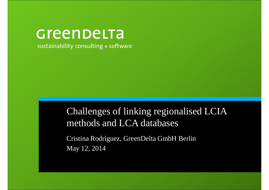# Greenbelta

sustainability consulting + software

Challenges of linking regionalised LCIA methods and LCA databases

Cristina Rodríguez, GreenDelta GmbH BerlinMay 12, 2014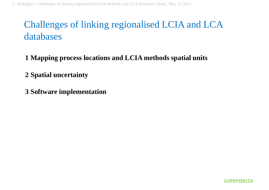### Challenges of linking regionalised LCIA and LCA databases

- **1 Mapping process locations and LCIA methods spatial units**
- **2 Spatial uncertainty**
- **3 Software implementation**

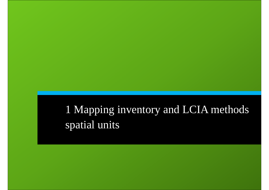## 1 Mapping inventory and LCIA methods spatial units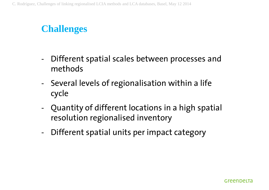### **Challenges**

- - Different spatial scales between processes and methods
- - Several levels of regionalisation within a life cycle
- Quantity of different locations in a high spatial resolution regionalised inventory
- -Different spatial units per impact category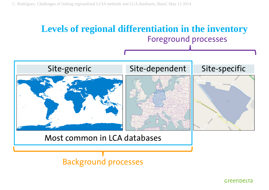#### Foreground processes **Levels of regional differentiation in the inventory**



Background processes

Greenbelta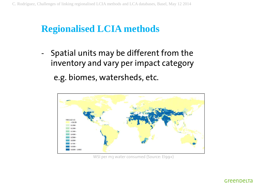## **Regionalised LCIA methods**

- Spatial units may be different from the inventory and vary per impact categorye.g. biomes, watersheds, etc.



WSI per m3 water consumed (Source: EI99+)

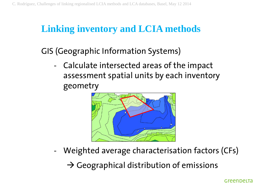### **Linking inventory and LCIA methods**

GIS (Geographic Information Systems)

 Calculate intersected areas of the impact assessment spatial units by each inventory geometry



-Weighted average characterisation factors (CFs)

 $\rightarrow$  Geographical distribution of emissions

Greenbelta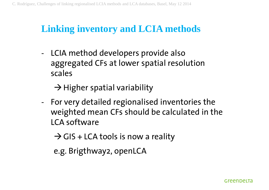### **Linking inventory and LCIA methods**

- LCIA method developers provide also aggregated CFs at lower spatial resolution scales

 $\rightarrow$  Higher spatial variability

 For very detailed regionalised inventories the weighted mean CFs should be calculated in the LCA software

 $\rightarrow$  GIS + LCA tools is now a reality

e.g. Brigthway2, openLCA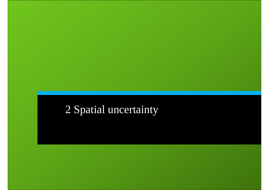### 2 Spatial uncertainty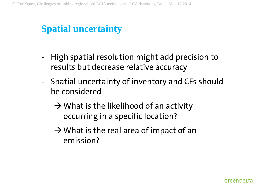### **Spatial uncertainty**

- High spatial resolution might add precision to results but decrease relative accuracy
- - Spatial uncertainty of inventory and CFs should be considered
	- $\rightarrow$  What is the likelihood of an activity occurring in a specific location?
	- $\rightarrow$  What is the real area of impact of an emission?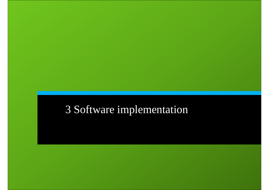## 3 Software implementation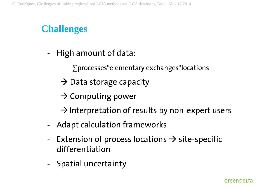### **Challenges**

- - High amount of data:
	- ∑processes\*elementary exchanges\*locations
	- $\rightarrow$  Data storage capacity
	- $\rightarrow$  Computing power
	- $\rightarrow$  Interpretation of results by non-expert users
- -Adapt calculation frameworks
- -Extension of process locations  $\rightarrow$  site-specific<br>differentiation differentiation
- -Spatial uncertainty

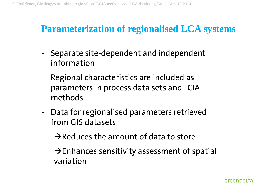## **Parameterization of regionalised LCA systems**

- - Separate site-dependent and independent information
- - Regional characteristics are included as parameters in process data sets and LCIA methods
- - Data for regionalised parameters retrieved from GIS datasets

 $\rightarrow$ Reduces the amount of data to store

 $\rightarrow$  Enhances sensitivity assessment of spatial variation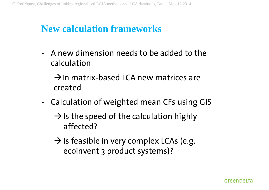### **New calculation frameworks**

- A new dimension needs to be added to the calculation

 $\rightarrow$ In matrix-based LCA new matrices are created

- Calculation of weighted mean CFs using GIS
	- $\rightarrow$  Is the speed of the calculation highly affected?
	- $\rightarrow$  Is feasible in very complex LCAs (e.g. ecoinvent 3 product systems)?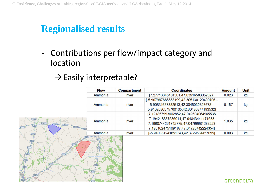## **Regionalised results**

- Contributions per flow/impact category and location

#### $\rightarrow$  Easily interpretable?

|                                                          | <b>Flow</b> | Compartment | <b>Coordinates</b>                                                                                                                                           | <b>Amount</b> | <b>Unit</b> |
|----------------------------------------------------------|-------------|-------------|--------------------------------------------------------------------------------------------------------------------------------------------------------------|---------------|-------------|
|                                                          | Ammonia     | river       | [7.27713346481301,47.03916583052327]                                                                                                                         | 0.023         | kg          |
|                                                          | Ammonia     | river       | [-5.907967686653199,42.305130129490706 -<br>5.90831637382513,42.3045032823678 -<br>5.9102636575700105,42.30480877193532]                                     | 0.157         | kg          |
| $(A-67)$<br>$(A-231)$<br>(4.231)<br>$(A-67)$<br>$(A-23)$ | Ammonia     | river       | [7.191857993602852,47.049604064965536<br>7.194218337536014,47.04843441171633<br>7.1960744261742775,47.04766681283223<br>7.195162475109187,47.04725742224354] | 1.035         | kg          |
| A-67                                                     | Ammonia     | river       | [-5.940331941651743,42.3729584457095]                                                                                                                        | 0.003         | kg          |
|                                                          |             |             |                                                                                                                                                              |               |             |
|                                                          |             |             |                                                                                                                                                              |               | GreenDeLTa  |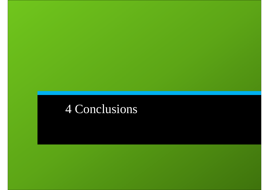# 4 Conclusions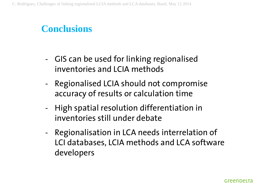### **Conclusions**

- - GIS can be used for linking regionalised inventories and LCIA methods
- - Regionalised LCIA should not compromise accuracy of results or calculation time
- - High spatial resolution differentiation in inventories still under debate
- - Regionalisation in LCA needs interrelation of LCI databases, LCIA methods and LCA software developers